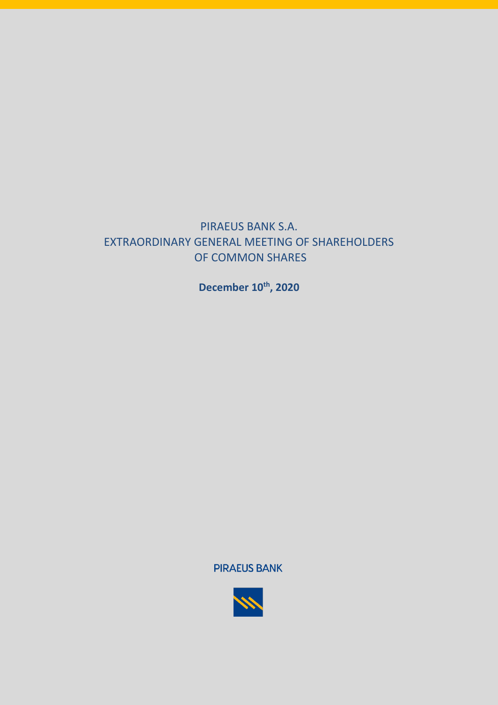# PIRAEUS BANK S.A. EXTRAORDINARY GENERAL MEETING OF SHAREHOLDERS OF COMMON SHARES

**December 10th , 2020**

**PIRAEUS BANK** 

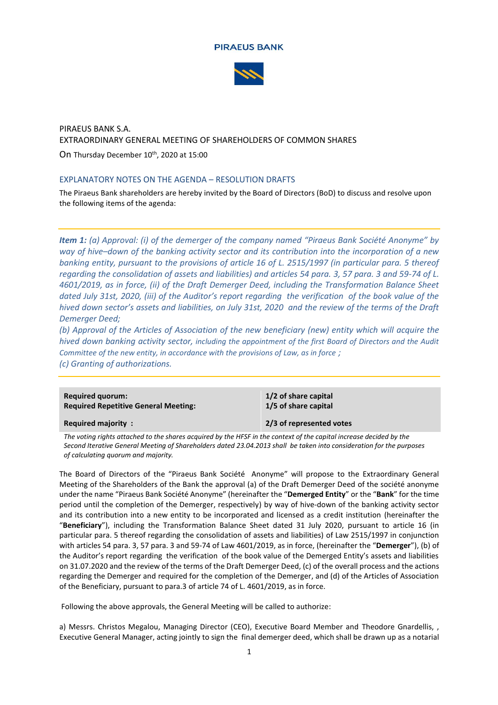



# PIRAEUS BANK S.A. EXTRAORDINARY GENERAL MEETING OF SHAREHOLDERS OF COMMON SHARES

On Thursday December 10<sup>th</sup>, 2020 at 15:00

# EXPLANATORY NOTES ON THE AGENDA – RESOLUTION DRAFTS

The Piraeus Bank shareholders are hereby invited by the Board of Directors (BoD) to discuss and resolve upon the following items of the agenda:

*Item 1: (a) Approval: (i) of the demerger of the company named "Piraeus Bank Société Anonyme" by way of hive–down of the banking activity sector and its contribution into the incorporation of a new banking entity, pursuant to the provisions of article 16 of L. 2515/1997 (in particular para. 5 thereof regarding the consolidation of assets and liabilities) and articles 54 para. 3, 57 para. 3 and 59-74 of L. 4601/2019, as in force, (ii) of the Draft Demerger Deed, including the Transformation Balance Sheet dated July 31st, 2020, (iii) of the Auditor's report regarding the verification of the book value of the hived down sector's assets and liabilities, on July 31st, 2020 and the review of the terms of the Draft Demerger Deed;* 

*(b) Approval of the Articles of Association of the new beneficiary (new) entity which will acquire the hived down banking activity sector, including the appointment of the first Board of Directors and the Audit Committee of the new entity, in accordance with the provisions of Law, as in force ; (c) Granting of authorizations.*

| <b>Required majority:</b> | <b>Required quorum:</b>                     | 1/2 of share capital |
|---------------------------|---------------------------------------------|----------------------|
| 2/3 of represented votes  | <b>Required Repetitive General Meeting:</b> | 1/5 of share capital |
|                           |                                             |                      |

*The voting rights attached to the shares acquired by the HFSF in the context of the capital increase decided by the Second Iterative General Meeting of Shareholders dated 23.04.2013 shall be taken into consideration for the purposes of calculating quorum and majority.*

The Board of Directors of the "Piraeus Bank Société Anonyme" will propose to the Extraordinary General Meeting of the Shareholders of the Bank the approval (a) of the Draft Demerger Deed of the société anonyme under the name "Piraeus Bank Société Anonyme" (hereinafter the "**Demerged Entity**" or the "**Bank**" for the time period until the completion of the Demerger, respectively) by way of hive-down of the banking activity sector and its contribution into a new entity to be incorporated and licensed as a credit institution (hereinafter the "**Beneficiary**"), including the Transformation Balance Sheet dated 31 July 2020, pursuant to article 16 (in particular para. 5 thereof regarding the consolidation of assets and liabilities) of Law 2515/1997 in conjunction with articles 54 para. 3, 57 para. 3 and 59-74 of Law 4601/2019, as in force, (hereinafter the "**Demerger**"), (b) of the Auditor's report regarding the verification of the book value of the Demerged Entity's assets and liabilities on 31.07.2020 and the review of the terms of the Draft Demerger Deed, (c) of the overall process and the actions regarding the Demerger and required for the completion of the Demerger, and (d) of the Articles of Association of the Beneficiary, pursuant to para.3 of article 74 of L. 4601/2019, as in force.

Following the above approvals, the General Meeting will be called to authorize:

a) Messrs. Christos Megalou, Managing Director (CEO), Executive Board Member and Theodore Gnardellis, , Executive General Manager, acting jointly to sign the final demerger deed, which shall be drawn up as a notarial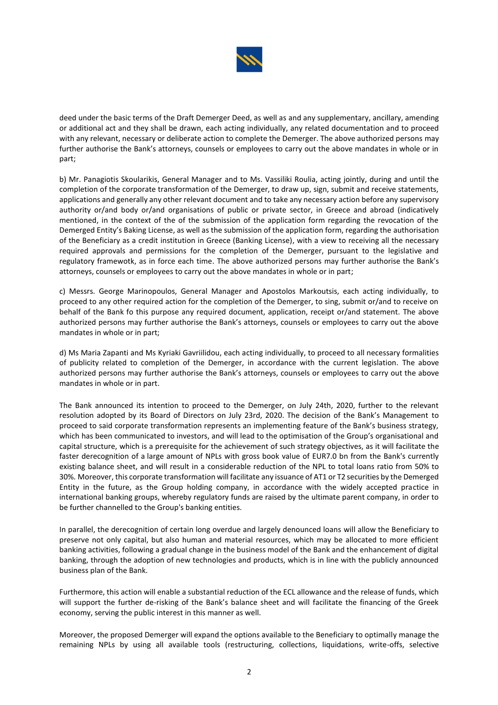

deed under the basic terms of the Draft Demerger Deed, as well as and any supplementary, ancillary, amending or additional act and they shall be drawn, each acting individually, any related documentation and to proceed with any relevant, necessary or deliberate action to complete the Demerger. The above authorized persons may further authorise the Bank's attorneys, counsels or employees to carry out the above mandates in whole or in part;

b) Mr. Panagiotis Skoularikis, General Manager and to Ms. Vassiliki Roulia, acting jointly, during and until the completion of the corporate transformation of the Demerger, to draw up, sign, submit and receive statements, applications and generally any other relevant document and to take any necessary action before any supervisory authority or/and body or/and organisations of public or private sector, in Greece and abroad (indicatively mentioned, in the context of the of the submission of the application form regarding the revocation of the Demerged Entity's Baking License, as well as the submission of the application form, regarding the authorisation of the Beneficiary as a credit institution in Greece (Banking License), with a view to receiving all the necessary required approvals and permissions for the completion of the Demerger, pursuant to the legislative and regulatory framewotk, as in force each time. The above authorized persons may further authorise the Bank's attorneys, counsels or employees to carry out the above mandates in whole or in part;

c) Messrs. George Marinopoulos, General Manager and Apostolos Markoutsis, each acting individually, to proceed to any other required action for the completion of the Demerger, to sing, submit or/and to receive on behalf of the Bank fo this purpose any required document, application, receipt or/and statement. The above authorized persons may further authorise the Bank's attorneys, counsels or employees to carry out the above mandates in whole or in part;

d) Ms Maria Zapanti and Ms Kyriaki Gavriilidou, each acting individually, to proceed to all necessary formalities of publicity related to completion of the Demerger, in accordance with the current legislation. The above authorized persons may further authorise the Bank's attorneys, counsels or employees to carry out the above mandates in whole or in part.

The Bank announced its intention to proceed to the Demerger, on July 24th, 2020, further to the relevant resolution adopted by its Board of Directors on July 23rd, 2020. The decision of the Bank's Management to proceed to said corporate transformation represents an implementing feature of the Bank's business strategy, which has been communicated to investors, and will lead to the optimisation of the Group's organisational and capital structure, which is a prerequisite for the achievement of such strategy objectives, as it will facilitate the faster derecognition of a large amount of NPLs with gross book value of EUR7.0 bn from the Bank's currently existing balance sheet, and will result in a considerable reduction of the NPL to total loans ratio from 50% to 30%. Moreover, this corporate transformation will facilitate any issuance of AT1 or Τ2 securities by the Demerged Entity in the future, as the Group holding company, in accordance with the widely accepted practice in international banking groups, whereby regulatory funds are raised by the ultimate parent company, in order to be further channelled to the Group's banking entities.

In parallel, the derecognition of certain long overdue and largely denounced loans will allow the Beneficiary to preserve not only capital, but also human and material resources, which may be allocated to more efficient banking activities, following a gradual change in the business model of the Bank and the enhancement of digital banking, through the adoption of new technologies and products, which is in line with the publicly announced business plan of the Bank.

Furthermore, this action will enable a substantial reduction of the ECL allowance and the release of funds, which will support the further de-risking of the Bank's balance sheet and will facilitate the financing of the Greek economy, serving the public interest in this manner as well.

Moreover, the proposed Demerger will expand the options available to the Beneficiary to optimally manage the remaining NPLs by using all available tools (restructuring, collections, liquidations, write-offs, selective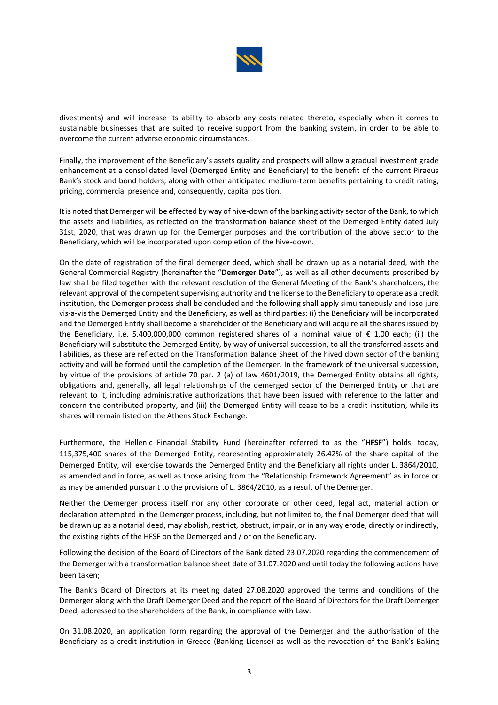

divestments) and will increase its ability to absorb any costs related thereto, especially when it comes to sustainable businesses that are suited to receive support from the banking system, in order to be able to overcome the current adverse economic circumstances.

Finally, the improvement of the Beneficiary's assets quality and prospects will allow a gradual investment grade enhancement at a consolidated level (Demerged Entity and Beneficiary) to the benefit of the current Piraeus Bank's stock and bond holders, along with other anticipated medium-term benefits pertaining to credit rating, pricing, commercial presence and, consequently, capital position.

It is noted that Demerger will be effected by way of hive-down of the banking activity sector of the Bank, to which the assets and liabilities, as reflected on the transformation balance sheet of the Demerged Entity dated July 31st, 2020, that was drawn up for the Demerger purposes and the contribution of the above sector to the Beneficiary, which will be incorporated upon completion of the hive-down.

On the date of registration of the final demerger deed, which shall be drawn up as a notarial deed, with the General Commercial Registry (hereinafter the "**Demerger Date**"), as well as all other documents prescribed by law shall be filed together with the relevant resolution of the General Meeting of the Bank's shareholders, the relevant approval of the competent supervising authority and the license to the Beneficiary to operate as a credit institution, the Demerger process shall be concluded and the following shall apply simultaneously and ipso jure vis-a-vis the Demerged Entity and the Beneficiary, as well as third parties: (i) the Beneficiary will be incorporated and the Demerged Entity shall become a shareholder of the Beneficiary and will acquire all the shares issued by the Beneficiary, i.e. 5,400,000,000 common registered shares of a nominal value of € 1,00 each; (ii) the Beneficiary will substitute the Demerged Entity, by way of universal succession, to all the transferred assets and liabilities, as these are reflected on the Transformation Balance Sheet of the hived down sector of the banking activity and will be formed until the completion of the Demerger. In the framework of the universal succession, by virtue of the provisions of article 70 par. 2 (a) of law 4601/2019, the Demerged Entity obtains all rights, obligations and, generally, all legal relationships of the demerged sector of the Demerged Entity or that are relevant to it, including administrative authorizations that have been issued with reference to the latter and concern the contributed property, and (iii) the Demerged Entity will cease to be a credit institution, while its shares will remain listed on the Athens Stock Exchange.

Furthermore, the Hellenic Financial Stability Fund (hereinafter referred to as the "**HFSF**") holds, today, 115,375,400 shares of the Demerged Entity, representing approximately 26.42% of the share capital of the Demerged Entity, will exercise towards the Demerged Entity and the Beneficiary all rights under L. 3864/2010, as amended and in force, as well as those arising from the "Relationship Framework Agreement" as in force or as may be amended pursuant to the provisions of L. 3864/2010, as a result of the Demerger.

Neither the Demerger process itself nor any other corporate or other deed, legal act, material action or declaration attempted in the Demerger process, including, but not limited to, the final Demerger deed that will be drawn up as a notarial deed, may abolish, restrict, obstruct, impair, or in any way erode, directly or indirectly, the existing rights of the HFSF on the Demerged and / or on the Beneficiary.

Following the decision of the Board of Directors of the Bank dated 23.07.2020 regarding the commencement of the Demerger with a transformation balance sheet date of 31.07.2020 and until today the following actions have been taken;

The Bank's Board of Directors at its meeting dated 27.08.2020 approved the terms and conditions of the Demerger along with the Draft Demerger Deed and the report of the Board of Directors for the Draft Demerger Deed, addressed to the shareholders of the Bank, in compliance with Law.

On 31.08.2020, an application form regarding the approval of the Demerger and the authorisation of the Beneficiary as a credit institution in Greece (Banking License) as well as the revocation of the Bank's Baking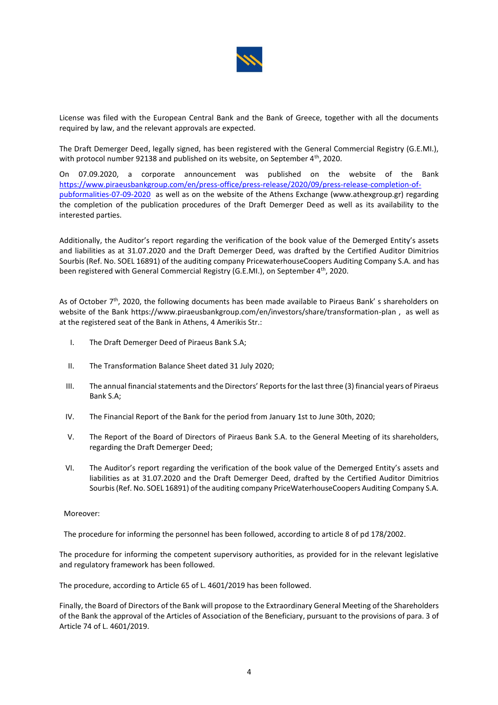

License was filed with the European Central Bank and the Bank of Greece, together with all the documents required by law, and the relevant approvals are expected.

The Draft Demerger Deed, legally signed, has been registered with the General Commercial Registry (G.E.MI.), with protocol number 92138 and published on its website, on September 4<sup>th</sup>, 2020.

On 07.09.2020, a corporate announcement was published on the website of the Bank [https://www.piraeusbankgroup.com/en/press-office/press-release/2020/09/press-release-completion-of](https://www.piraeusbankgroup.com/en/press-office/press-release/2020/09/press-release-completion-of-pubformalities-07-09-2020)[pubformalities-07-09-2020](https://www.piraeusbankgroup.com/en/press-office/press-release/2020/09/press-release-completion-of-pubformalities-07-09-2020) as well as on the website of the Athens Exchange (www.athexgroup.gr) regarding the completion of the publication procedures of the Draft Demerger Deed as well as its availability to the interested parties.

Additionally, the Auditor's report regarding the verification of the book value of the Demerged Entity's assets and liabilities as at 31.07.2020 and the Draft Demerger Deed, was drafted by the Certified Auditor Dimitrios Sourbis (Ref. No. SOEL 16891) of the auditing company PricewaterhouseCoopers Auditing Company S.A. and has been registered with General Commercial Registry (G.E.MI.), on September 4<sup>th</sup>, 2020.

As of October  $7<sup>th</sup>$ , 2020, the following documents has been made available to Piraeus Bank's shareholders on website of the Bank https://www.piraeusbankgroup.com/en/investors/share/transformation-plan , as well as at the registered seat of the Bank in Athens, 4 Amerikis Str.:

- I. The Draft Demerger Deed of Piraeus Bank S.A;
- II. The Transformation Balance Sheet dated 31 July 2020;
- III. The annual financial statements and the Directors' Reports for the last three (3) financial years of Piraeus Bank S.A;
- IV. The Financial Report of the Bank for the period from January 1st to June 30th, 2020;
- V. The Report of the Board of Directors of Piraeus Bank S.A. to the General Meeting of its shareholders, regarding the Draft Demerger Deed;
- VI. The Auditor's report regarding the verification of the book value of the Demerged Entity's assets and liabilities as at 31.07.2020 and the Draft Demerger Deed, drafted by the Certified Auditor Dimitrios Sourbis (Ref. No. SOEL 16891) of the auditing company PriceWaterhouseCoopers Auditing Company S.A.

# Moreover:

The procedure for informing the personnel has been followed, according to article 8 of pd 178/2002.

The procedure for informing the competent supervisory authorities, as provided for in the relevant legislative and regulatory framework has been followed.

The procedure, according to Article 65 of L. 4601/2019 has been followed.

Finally, the Board of Directors of the Bank will propose to the Extraordinary General Meeting of the Shareholders of the Bank the approval of the Articles of Association of the Beneficiary, pursuant to the provisions of para. 3 of Article 74 of L. 4601/2019.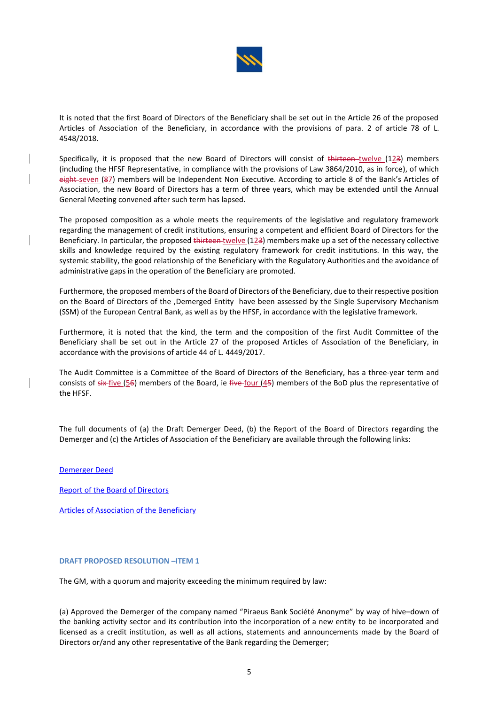

It is noted that the first Board of Directors of the Beneficiary shall be set out in the Article 26 of the proposed Articles of Association of the Beneficiary, in accordance with the provisions of para. 2 of article 78 of L. 4548/2018.

Specifically, it is proposed that the new Board of Directors will consist of thirteen twelve (123) members (including the HFSF Representative, in compliance with the provisions of Law 3864/2010, as in force), of which eight-seven (87) members will be Independent Non Executive. According to article 8 of the Bank's Articles of Association, the new Board of Directors has a term of three years, which may be extended until the Annual General Meeting convened after such term has lapsed.

The proposed composition as a whole meets the requirements of the legislative and regulatory framework regarding the management of credit institutions, ensuring a competent and efficient Board of Directors for the Beneficiary. In particular, the proposed thirteen twelve (123) members make up a set of the necessary collective skills and knowledge required by the existing regulatory framework for credit institutions. In this way, the systemic stability, the good relationship of the Beneficiary with the Regulatory Authorities and the avoidance of administrative gaps in the operation of the Beneficiary are promoted.

Furthermore, the proposed members of the Board of Directors of the Beneficiary, due to their respective position on the Board of Directors of the ,Demerged Entity have been assessed by the Single Supervisory Mechanism (SSM) of the European Central Bank, as well as by the HFSF, in accordance with the legislative framework.

Furthermore, it is noted that the kind, the term and the composition of the first Audit Committee of the Beneficiary shall be set out in the Article 27 of the proposed Articles of Association of the Beneficiary, in accordance with the provisions of article 44 of L. 4449/2017.

The Audit Committee is a Committee of the Board of Directors of the Beneficiary, has a three-year term and consists of  $sir{five}$  (56) members of the Board, ie five four (45) members of the BoD plus the representative of the HFSF.

The full documents of (a) the Draft Demerger Deed, (b) the Report of the Board of Directors regarding the Demerger and (c) the Articles of Association of the Beneficiary are available through the following links:

[Demerger Deed](https://www.piraeusbank.gr/~/media/ED565C51CA9240DD99D92EE19B816B63.ashx)

[Report of the Board of Directors](https://www.piraeusbank.gr/~/media/84C58601F6EE4AF08BF19EB8E405161D.ashx)

[Articles of Association of the Beneficiary](https://www.piraeusbank.gr/~/media/A5468F0DFF534E95A6978C98B496E364.ashx)

### **DRAFT PROPOSED RESOLUTION –ITEM 1**

The GM, with a quorum and majority exceeding the minimum required by law:

(a) Approved the Demerger of the company named "Piraeus Bank Société Anonyme" by way of hive–down of the banking activity sector and its contribution into the incorporation of a new entity to be incorporated and licensed as a credit institution, as well as all actions, statements and announcements made by the Board of Directors or/and any other representative of the Bank regarding the Demerger;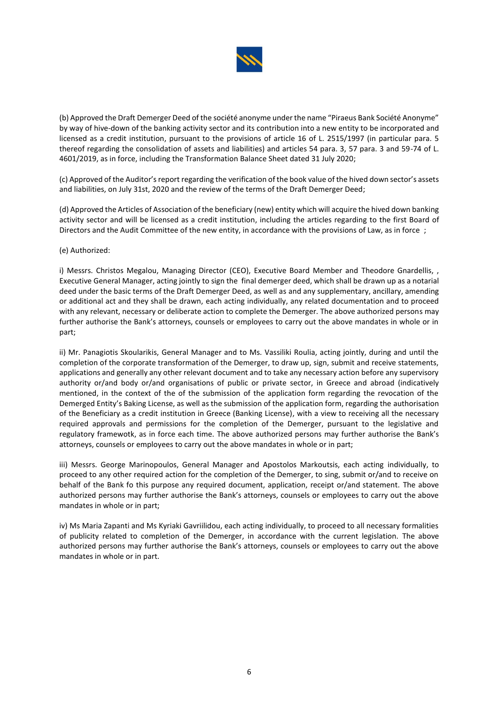

(b) Approved the Draft Demerger Deed of the société anonyme under the name "Piraeus Bank Société Anonyme" by way of hive-down of the banking activity sector and its contribution into a new entity to be incorporated and licensed as a credit institution, pursuant to the provisions of article 16 of L. 2515/1997 (in particular para. 5 thereof regarding the consolidation of assets and liabilities) and articles 54 para. 3, 57 para. 3 and 59-74 of L. 4601/2019, as in force, including the Transformation Balance Sheet dated 31 July 2020;

(c) Approved of the Auditor's report regarding the verification of the book value of the hived down sector's assets and liabilities, on July 31st, 2020 and the review of the terms of the Draft Demerger Deed;

(d) Approved the Articles of Association of the beneficiary (new) entity which will acquire the hived down banking activity sector and will be licensed as a credit institution, including the articles regarding to the first Board of Directors and the Audit Committee of the new entity, in accordance with the provisions of Law, as in force ;

# (e) Authorized:

i) Messrs. Christos Megalou, Managing Director (CEO), Executive Board Member and Theodore Gnardellis, , Executive General Manager, acting jointly to sign the final demerger deed, which shall be drawn up as a notarial deed under the basic terms of the Draft Demerger Deed, as well as and any supplementary, ancillary, amending or additional act and they shall be drawn, each acting individually, any related documentation and to proceed with any relevant, necessary or deliberate action to complete the Demerger. The above authorized persons may further authorise the Bank's attorneys, counsels or employees to carry out the above mandates in whole or in part;

ii) Mr. Panagiotis Skoularikis, General Manager and to Ms. Vassiliki Roulia, acting jointly, during and until the completion of the corporate transformation of the Demerger, to draw up, sign, submit and receive statements, applications and generally any other relevant document and to take any necessary action before any supervisory authority or/and body or/and organisations of public or private sector, in Greece and abroad (indicatively mentioned, in the context of the of the submission of the application form regarding the revocation of the Demerged Entity's Baking License, as well as the submission of the application form, regarding the authorisation of the Beneficiary as a credit institution in Greece (Banking License), with a view to receiving all the necessary required approvals and permissions for the completion of the Demerger, pursuant to the legislative and regulatory framewotk, as in force each time. The above authorized persons may further authorise the Bank's attorneys, counsels or employees to carry out the above mandates in whole or in part;

iii) Messrs. George Marinopoulos, General Manager and Apostolos Markoutsis, each acting individually, to proceed to any other required action for the completion of the Demerger, to sing, submit or/and to receive on behalf of the Bank fo this purpose any required document, application, receipt or/and statement. The above authorized persons may further authorise the Bank's attorneys, counsels or employees to carry out the above mandates in whole or in part;

iv) Ms Maria Zapanti and Ms Kyriaki Gavriilidou, each acting individually, to proceed to all necessary formalities of publicity related to completion of the Demerger, in accordance with the current legislation. The above authorized persons may further authorise the Bank's attorneys, counsels or employees to carry out the above mandates in whole or in part.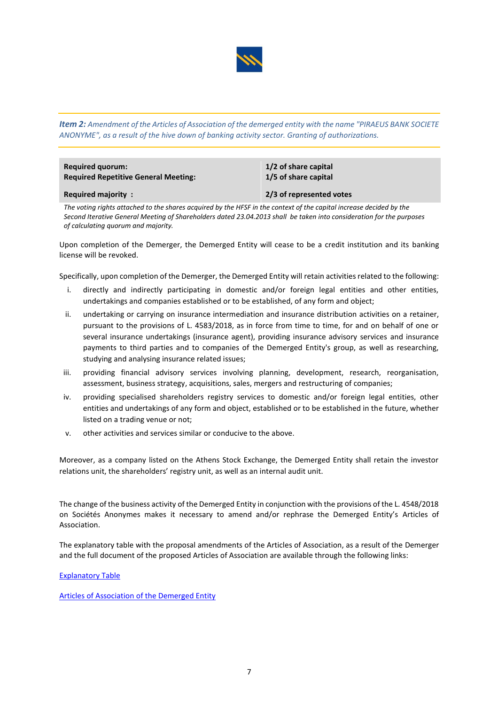

*Item 2: Amendment of the Articles of Association of the demerged entity with the name "PIRAEUS BANK SOCIETE ANONYME", as a result of the hive down of banking activity sector. Granting of authorizations.*

| <b>Required quorum:</b>                     | 1/2 of share capital     |
|---------------------------------------------|--------------------------|
| <b>Required Repetitive General Meeting:</b> | 1/5 of share capital     |
| <b>Required majority:</b>                   | 2/3 of represented votes |

*The voting rights attached to the shares acquired by the HFSF in the context of the capital increase decided by the Second Iterative General Meeting of Shareholders dated 23.04.2013 shall be taken into consideration for the purposes of calculating quorum and majority.*

Upon completion of the Demerger, the Demerged Entity will cease to be a credit institution and its banking license will be revoked.

Specifically, upon completion of the Demerger, the Demerged Entity will retain activities related to the following:

- i. directly and indirectly participating in domestic and/or foreign legal entities and other entities, undertakings and companies established or to be established, of any form and object;
- ii. undertaking or carrying on insurance intermediation and insurance distribution activities on a retainer, pursuant to the provisions of L. 4583/2018, as in force from time to time, for and on behalf of one or several insurance undertakings (insurance agent), providing insurance advisory services and insurance payments to third parties and to companies of the Demerged Entity's group, as well as researching, studying and analysing insurance related issues;
- iii. providing financial advisory services involving planning, development, research, reorganisation, assessment, business strategy, acquisitions, sales, mergers and restructuring of companies;
- iv. providing specialised shareholders registry services to domestic and/or foreign legal entities, other entities and undertakings of any form and object, established or to be established in the future, whether listed on a trading venue or not;
- v. other activities and services similar or conducive to the above.

Moreover, as a company listed on the Athens Stock Exchange, the Demerged Entity shall retain the investor relations unit, the shareholders' registry unit, as well as an internal audit unit.

The change of the business activity of the Demerged Entity in conjunction with the provisions of the L. 4548/2018 on Sociétés Anonymes makes it necessary to amend and/or rephrase the Demerged Entity's Articles of Association.

The explanatory table with the proposal amendments of the Articles of Association, as a result of the Demerger and the full document of the proposed Articles of Association are available through the following links:

[Explanatory Table](https://www.piraeusbank.gr/~/media/FE9323820BD94FF38C0786DE4C98839B.ashx)

Articles of Association [of the Demerged Entity](https://www.piraeusbank.gr/~/media/9AD9ED0853BE40538C4D91C40DA8E421.ashx)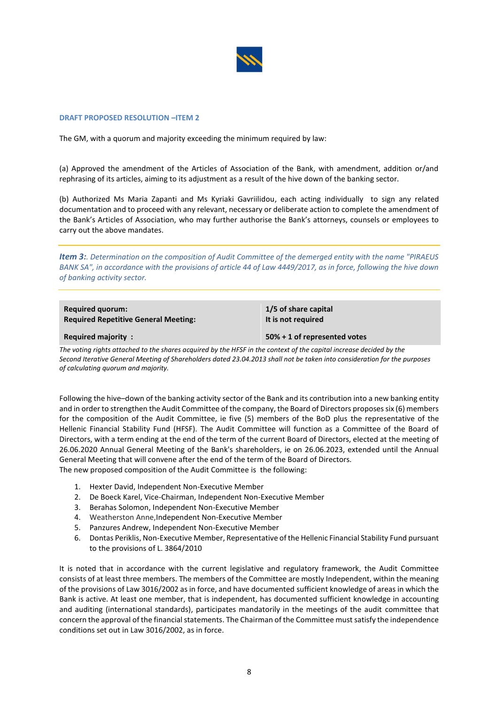

#### **DRAFT PROPOSED RESOLUTION –ITEM 2**

The GM, with a quorum and majority exceeding the minimum required by law:

(a) Approved the amendment of the Articles of Association of the Bank, with amendment, addition or/and rephrasing of its articles, aiming to its adjustment as a result of the hive down of the banking sector.

(b) Authorized Ms Maria Zapanti and Ms Kyriaki Gavriilidou, each acting individually to sign any related documentation and to proceed with any relevant, necessary or deliberate action to complete the amendment of the Bank's Articles of Association, who may further authorise the Bank's attorneys, counsels or employees to carry out the above mandates.

*Item 3:. Determination on the composition of Audit Committee of the demerged entity with the name "PIRAEUS BANK SA", in accordance with the provisions of article 44 of Law 4449/2017, as in force, following the hive down of banking activity sector.*

| <b>Required quorum:</b> |                                             |
|-------------------------|---------------------------------------------|
|                         | <b>Required Repetitive General Meeting:</b> |

**1/5 of share capital It is not required**

**Required majority : 50% + 1 of represented votes**

*The voting rights attached to the shares acquired by the HFSF in the context of the capital increase decided by the Second Iterative General Meeting of Shareholders dated 23.04.2013 shall not be taken into consideration for the purposes of calculating quorum and majority.*

Following the hive–down of the banking activity sector of the Bank and its contribution into a new banking entity and in order to strengthen the Audit Committee of the company, the Board of Directors proposes six (6) members for the composition of the Audit Committee, ie five (5) members of the BoD plus the representative of the Hellenic Financial Stability Fund (HFSF). The Audit Committee will function as a Committee of the Board of Directors, with a term ending at the end of the term of the current Board of Directors, elected at the meeting of 26.06.2020 Annual General Meeting of the Bank's shareholders, ie on 26.06.2023, extended until the Annual General Meeting that will convene after the end of the term of the Board of Directors. The new proposed composition of the Audit Committee is the following:

- 1. Hexter David, Independent Non-Executive Member
- 2. De Boeck Karel, Vice-Chairman, Independent Non-Executive Member
- 3. Berahas Solomon, Independent Non-Executive Member
- 4. Weatherston Anne,Independent Non-Executive Member
- 5. Panzures Andrew, Independent Non-Executive Member
- 6. Dontas Periklis, Non-Executive Member, Representative of the Hellenic Financial Stability Fund pursuant to the provisions of L. 3864/2010

It is noted that in accordance with the current legislative and regulatory framework, the Audit Committee consists of at least three members. The members of the Committee are mostly Independent, within the meaning of the provisions of Law 3016/2002 as in force, and have documented sufficient knowledge of areas in which the Bank is active. At least one member, that is independent, has documented sufficient knowledge in accounting and auditing (international standards), participates mandatorily in the meetings of the audit committee that concern the approval of the financial statements. The Chairman of the Committee must satisfy the independence conditions set out in Law 3016/2002, as in force.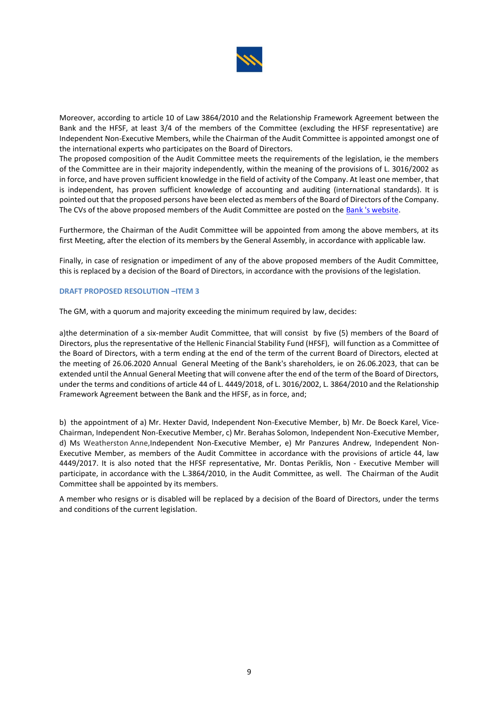

Moreover, according to article 10 of Law 3864/2010 and the Relationship Framework Agreement between the Bank and the HFSF, at least 3/4 of the members of the Committee (excluding the HFSF representative) are Independent Non-Executive Members, while the Chairman of the Audit Committee is appointed amongst one of the international experts who participates on the Board of Directors.

The proposed composition of the Audit Committee meets the requirements of the legislation, ie the members of the Committee are in their majority independently, within the meaning of the provisions of L. 3016/2002 as in force, and have proven sufficient knowledge in the field of activity of the Company. At least one member, that is independent, has proven sufficient knowledge of accounting and auditing (international standards). It is pointed out that the proposed persons have been elected as members of the Board of Directors of the Company. The CVs of the above proposed members of the Audit Committee are posted on the [Bank 's website.](https://www.piraeusbankgroup.com/en/investors/corporate-governance/board/bod-composition)

Furthermore, the Chairman of the Audit Committee will be appointed from among the above members, at its first Meeting, after the election of its members by the General Assembly, in accordance with applicable law.

Finally, in case of resignation or impediment of any of the above proposed members of the Audit Committee, this is replaced by a decision of the Board of Directors, in accordance with the provisions of the legislation.

# **DRAFT PROPOSED RESOLUTION –ITEM 3**

The GM, with a quorum and majority exceeding the minimum required by law, decides:

a)the determination of a six-member Audit Committee, that will consist by five (5) members of the Board of Directors, plus the representative of the Hellenic Financial Stability Fund (HFSF), will function as a Committee of the Board of Directors, with a term ending at the end of the term of the current Board of Directors, elected at the meeting of 26.06.2020 Annual General Meeting of the Bank's shareholders, ie on 26.06.2023, that can be extended until the Annual General Meeting that will convene after the end of the term of the Board of Directors, under the terms and conditions of article 44 of L. 4449/2018, of L. 3016/2002, L. 3864/2010 and the Relationship Framework Agreement between the Bank and the HFSF, as in force, and;

b) the appointment of a) Mr. Hexter David, Independent Non-Executive Member, b) Mr. De Boeck Karel, Vice-Chairman, Independent Non-Executive Member, c) Mr. Berahas Solomon, Independent Non-Executive Member, d) Ms Weatherston Anne,Independent Non-Executive Member, e) Mr Panzures Andrew, Independent Non-Executive Member, as members of the Audit Committee in accordance with the provisions of article 44, law 4449/2017. It is also noted that the HFSF representative, Mr. Dontas Periklis, Non - Executive Member will participate, in accordance with the L.3864/2010, in the Audit Committee, as well. The Chairman of the Audit Committee shall be appointed by its members.

A member who resigns or is disabled will be replaced by a decision of the Board of Directors, under the terms and conditions of the current legislation.